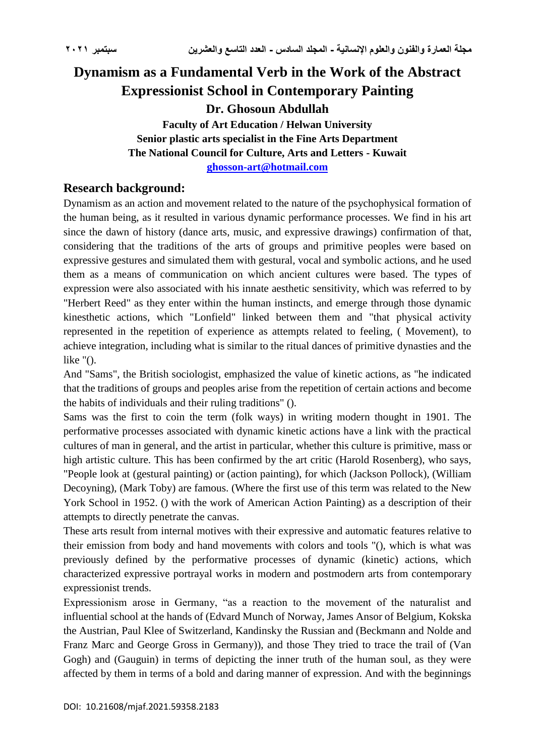# **Dynamism as a Fundamental Verb in the Work of the Abstract Expressionist School in Contemporary Painting Dr. Ghosoun Abdullah Faculty of Art Education / Helwan University Senior plastic arts specialist in the Fine Arts Department**

**The National Council for Culture, Arts and Letters - Kuwait**

**[ghosson-art@hotmail.com](mailto:ghosson-art@hotmail.com)**

# **Research background:**

Dynamism as an action and movement related to the nature of the psychophysical formation of the human being, as it resulted in various dynamic performance processes. We find in his art since the dawn of history (dance arts, music, and expressive drawings) confirmation of that, considering that the traditions of the arts of groups and primitive peoples were based on expressive gestures and simulated them with gestural, vocal and symbolic actions, and he used them as a means of communication on which ancient cultures were based. The types of expression were also associated with his innate aesthetic sensitivity, which was referred to by "Herbert Reed" as they enter within the human instincts, and emerge through those dynamic kinesthetic actions, which "Lonfield" linked between them and "that physical activity represented in the repetition of experience as attempts related to feeling, ( Movement), to achieve integration, including what is similar to the ritual dances of primitive dynasties and the like  $\degree$ ().

And "Sams", the British sociologist, emphasized the value of kinetic actions, as "he indicated that the traditions of groups and peoples arise from the repetition of certain actions and become the habits of individuals and their ruling traditions" ().

Sams was the first to coin the term (folk ways) in writing modern thought in 1901. The performative processes associated with dynamic kinetic actions have a link with the practical cultures of man in general, and the artist in particular, whether this culture is primitive, mass or high artistic culture. This has been confirmed by the art critic (Harold Rosenberg), who says, "People look at (gestural painting) or (action painting), for which (Jackson Pollock), (William Decoyning), (Mark Toby) are famous. (Where the first use of this term was related to the New York School in 1952. () with the work of American Action Painting) as a description of their attempts to directly penetrate the canvas.

These arts result from internal motives with their expressive and automatic features relative to their emission from body and hand movements with colors and tools "(), which is what was previously defined by the performative processes of dynamic (kinetic) actions, which characterized expressive portrayal works in modern and postmodern arts from contemporary expressionist trends.

Expressionism arose in Germany, "as a reaction to the movement of the naturalist and influential school at the hands of (Edvard Munch of Norway, James Ansor of Belgium, Kokska the Austrian, Paul Klee of Switzerland, Kandinsky the Russian and (Beckmann and Nolde and Franz Marc and George Gross in Germany)), and those They tried to trace the trail of (Van Gogh) and (Gauguin) in terms of depicting the inner truth of the human soul, as they were affected by them in terms of a bold and daring manner of expression. And with the beginnings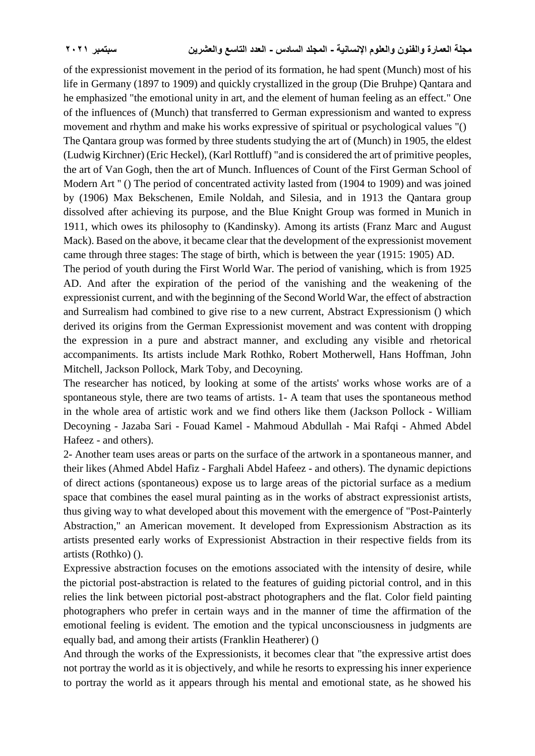of the expressionist movement in the period of its formation, he had spent (Munch) most of his life in Germany (1897 to 1909) and quickly crystallized in the group (Die Bruhpe) Qantara and he emphasized "the emotional unity in art, and the element of human feeling as an effect." One of the influences of (Munch) that transferred to German expressionism and wanted to express movement and rhythm and make his works expressive of spiritual or psychological values "()

The Qantara group was formed by three students studying the art of (Munch) in 1905, the eldest (Ludwig Kirchner) (Eric Heckel), (Karl Rottluff) "and is considered the art of primitive peoples, the art of Van Gogh, then the art of Munch. Influences of Count of the First German School of Modern Art " () The period of concentrated activity lasted from (1904 to 1909) and was joined by (1906) Max Bekschenen, Emile Noldah, and Silesia, and in 1913 the Qantara group dissolved after achieving its purpose, and the Blue Knight Group was formed in Munich in 1911, which owes its philosophy to (Kandinsky). Among its artists (Franz Marc and August Mack). Based on the above, it became clear that the development of the expressionist movement came through three stages: The stage of birth, which is between the year (1915: 1905) AD.

The period of youth during the First World War. The period of vanishing, which is from 1925 AD. And after the expiration of the period of the vanishing and the weakening of the expressionist current, and with the beginning of the Second World War, the effect of abstraction and Surrealism had combined to give rise to a new current, Abstract Expressionism () which derived its origins from the German Expressionist movement and was content with dropping the expression in a pure and abstract manner, and excluding any visible and rhetorical accompaniments. Its artists include Mark Rothko, Robert Motherwell, Hans Hoffman, John Mitchell, Jackson Pollock, Mark Toby, and Decoyning.

The researcher has noticed, by looking at some of the artists' works whose works are of a spontaneous style, there are two teams of artists. 1- A team that uses the spontaneous method in the whole area of artistic work and we find others like them (Jackson Pollock - William Decoyning - Jazaba Sari - Fouad Kamel - Mahmoud Abdullah - Mai Rafqi - Ahmed Abdel Hafeez - and others).

2- Another team uses areas or parts on the surface of the artwork in a spontaneous manner, and their likes (Ahmed Abdel Hafiz - Farghali Abdel Hafeez - and others). The dynamic depictions of direct actions (spontaneous) expose us to large areas of the pictorial surface as a medium space that combines the easel mural painting as in the works of abstract expressionist artists, thus giving way to what developed about this movement with the emergence of "Post-Painterly Abstraction," an American movement. It developed from Expressionism Abstraction as its artists presented early works of Expressionist Abstraction in their respective fields from its artists (Rothko) ().

Expressive abstraction focuses on the emotions associated with the intensity of desire, while the pictorial post-abstraction is related to the features of guiding pictorial control, and in this relies the link between pictorial post-abstract photographers and the flat. Color field painting photographers who prefer in certain ways and in the manner of time the affirmation of the emotional feeling is evident. The emotion and the typical unconsciousness in judgments are equally bad, and among their artists (Franklin Heatherer) ()

And through the works of the Expressionists, it becomes clear that "the expressive artist does not portray the world as it is objectively, and while he resorts to expressing his inner experience to portray the world as it appears through his mental and emotional state, as he showed his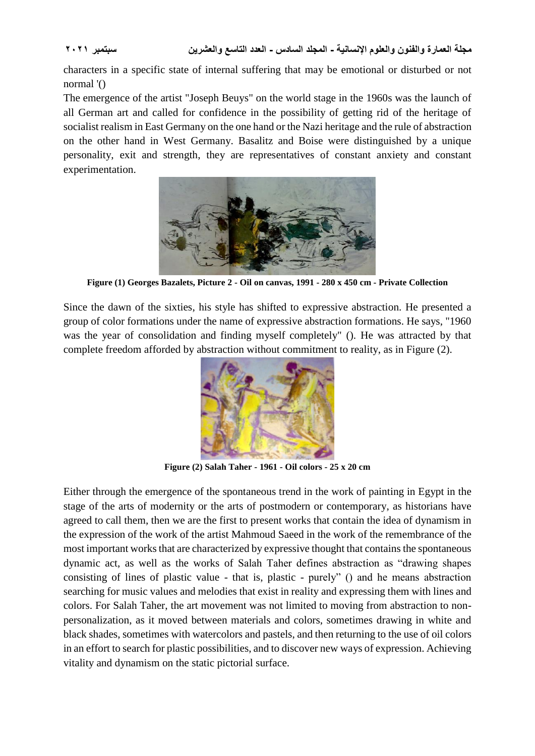characters in a specific state of internal suffering that may be emotional or disturbed or not normal '()

The emergence of the artist "Joseph Beuys" on the world stage in the 1960s was the launch of all German art and called for confidence in the possibility of getting rid of the heritage of socialist realism in East Germany on the one hand or the Nazi heritage and the rule of abstraction on the other hand in West Germany. Basalitz and Boise were distinguished by a unique personality, exit and strength, they are representatives of constant anxiety and constant experimentation.



**Figure (1) Georges Bazalets, Picture 2 - Oil on canvas, 1991 - 280 x 450 cm - Private Collection**

Since the dawn of the sixties, his style has shifted to expressive abstraction. He presented a group of color formations under the name of expressive abstraction formations. He says, "1960 was the year of consolidation and finding myself completely" (). He was attracted by that complete freedom afforded by abstraction without commitment to reality, as in Figure (2).



**Figure (2) Salah Taher - 1961 - Oil colors - 25 x 20 cm**

Either through the emergence of the spontaneous trend in the work of painting in Egypt in the stage of the arts of modernity or the arts of postmodern or contemporary, as historians have agreed to call them, then we are the first to present works that contain the idea of dynamism in the expression of the work of the artist Mahmoud Saeed in the work of the remembrance of the most important works that are characterized by expressive thought that contains the spontaneous dynamic act, as well as the works of Salah Taher defines abstraction as "drawing shapes consisting of lines of plastic value - that is, plastic - purely" () and he means abstraction searching for music values and melodies that exist in reality and expressing them with lines and colors. For Salah Taher, the art movement was not limited to moving from abstraction to nonpersonalization, as it moved between materials and colors, sometimes drawing in white and black shades, sometimes with watercolors and pastels, and then returning to the use of oil colors in an effort to search for plastic possibilities, and to discover new ways of expression. Achieving vitality and dynamism on the static pictorial surface.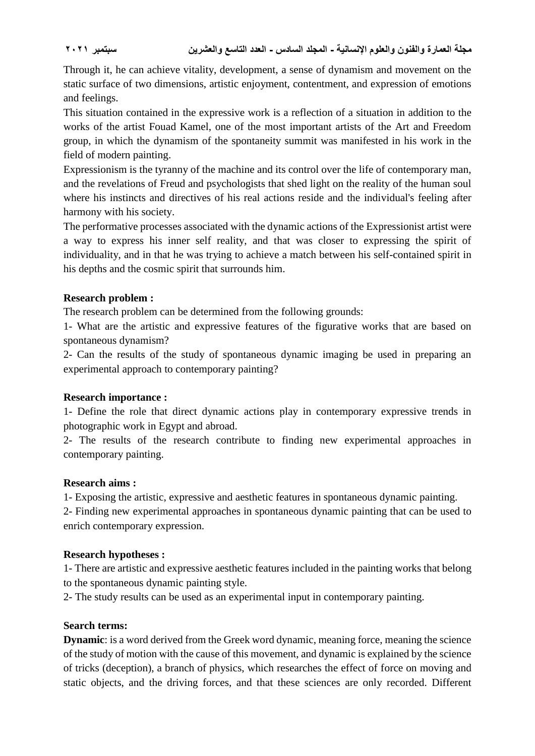Through it, he can achieve vitality, development, a sense of dynamism and movement on the static surface of two dimensions, artistic enjoyment, contentment, and expression of emotions and feelings.

This situation contained in the expressive work is a reflection of a situation in addition to the works of the artist Fouad Kamel, one of the most important artists of the Art and Freedom group, in which the dynamism of the spontaneity summit was manifested in his work in the field of modern painting.

Expressionism is the tyranny of the machine and its control over the life of contemporary man, and the revelations of Freud and psychologists that shed light on the reality of the human soul where his instincts and directives of his real actions reside and the individual's feeling after harmony with his society.

The performative processes associated with the dynamic actions of the Expressionist artist were a way to express his inner self reality, and that was closer to expressing the spirit of individuality, and in that he was trying to achieve a match between his self-contained spirit in his depths and the cosmic spirit that surrounds him.

### **Research problem :**

The research problem can be determined from the following grounds:

1- What are the artistic and expressive features of the figurative works that are based on spontaneous dynamism?

2- Can the results of the study of spontaneous dynamic imaging be used in preparing an experimental approach to contemporary painting?

### **Research importance :**

1- Define the role that direct dynamic actions play in contemporary expressive trends in photographic work in Egypt and abroad.

2- The results of the research contribute to finding new experimental approaches in contemporary painting.

### **Research aims :**

1- Exposing the artistic, expressive and aesthetic features in spontaneous dynamic painting.

2- Finding new experimental approaches in spontaneous dynamic painting that can be used to enrich contemporary expression.

### **Research hypotheses :**

1- There are artistic and expressive aesthetic features included in the painting works that belong to the spontaneous dynamic painting style.

2- The study results can be used as an experimental input in contemporary painting.

### **Search terms:**

**Dynamic**: is a word derived from the Greek word dynamic, meaning force, meaning the science of the study of motion with the cause of this movement, and dynamic is explained by the science of tricks (deception), a branch of physics, which researches the effect of force on moving and static objects, and the driving forces, and that these sciences are only recorded. Different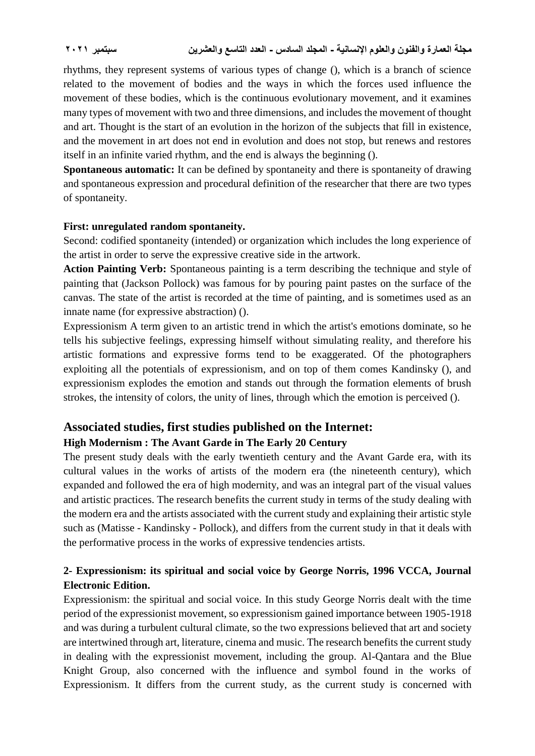rhythms, they represent systems of various types of change (), which is a branch of science related to the movement of bodies and the ways in which the forces used influence the movement of these bodies, which is the continuous evolutionary movement, and it examines many types of movement with two and three dimensions, and includes the movement of thought and art. Thought is the start of an evolution in the horizon of the subjects that fill in existence, and the movement in art does not end in evolution and does not stop, but renews and restores itself in an infinite varied rhythm, and the end is always the beginning ().

**Spontaneous automatic:** It can be defined by spontaneity and there is spontaneity of drawing and spontaneous expression and procedural definition of the researcher that there are two types of spontaneity.

#### **First: unregulated random spontaneity.**

Second: codified spontaneity (intended) or organization which includes the long experience of the artist in order to serve the expressive creative side in the artwork.

**Action Painting Verb:** Spontaneous painting is a term describing the technique and style of painting that (Jackson Pollock) was famous for by pouring paint pastes on the surface of the canvas. The state of the artist is recorded at the time of painting, and is sometimes used as an innate name (for expressive abstraction) ().

Expressionism A term given to an artistic trend in which the artist's emotions dominate, so he tells his subjective feelings, expressing himself without simulating reality, and therefore his artistic formations and expressive forms tend to be exaggerated. Of the photographers exploiting all the potentials of expressionism, and on top of them comes Kandinsky (), and expressionism explodes the emotion and stands out through the formation elements of brush strokes, the intensity of colors, the unity of lines, through which the emotion is perceived ().

# **Associated studies, first studies published on the Internet:**

## **High Modernism : The Avant Garde in The Early 20 Century**

The present study deals with the early twentieth century and the Avant Garde era, with its cultural values in the works of artists of the modern era (the nineteenth century), which expanded and followed the era of high modernity, and was an integral part of the visual values and artistic practices. The research benefits the current study in terms of the study dealing with the modern era and the artists associated with the current study and explaining their artistic style such as (Matisse - Kandinsky - Pollock), and differs from the current study in that it deals with the performative process in the works of expressive tendencies artists.

# **2- Expressionism: its spiritual and social voice by George Norris, 1996 VCCA, Journal Electronic Edition.**

Expressionism: the spiritual and social voice. In this study George Norris dealt with the time period of the expressionist movement, so expressionism gained importance between 1905-1918 and was during a turbulent cultural climate, so the two expressions believed that art and society are intertwined through art, literature, cinema and music. The research benefits the current study in dealing with the expressionist movement, including the group. Al-Qantara and the Blue Knight Group, also concerned with the influence and symbol found in the works of Expressionism. It differs from the current study, as the current study is concerned with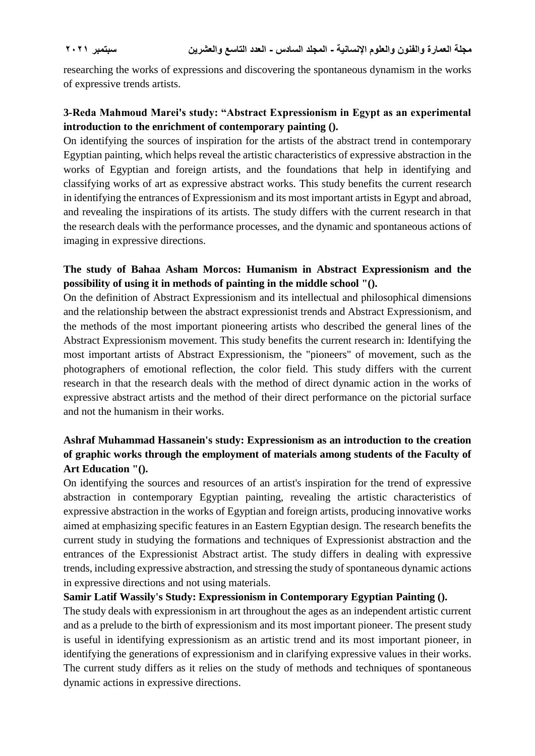researching the works of expressions and discovering the spontaneous dynamism in the works of expressive trends artists.

# **3-Reda Mahmoud Marei's study: "Abstract Expressionism in Egypt as an experimental introduction to the enrichment of contemporary painting ().**

On identifying the sources of inspiration for the artists of the abstract trend in contemporary Egyptian painting, which helps reveal the artistic characteristics of expressive abstraction in the works of Egyptian and foreign artists, and the foundations that help in identifying and classifying works of art as expressive abstract works. This study benefits the current research in identifying the entrances of Expressionism and its most important artists in Egypt and abroad, and revealing the inspirations of its artists. The study differs with the current research in that the research deals with the performance processes, and the dynamic and spontaneous actions of imaging in expressive directions.

# **The study of Bahaa Asham Morcos: Humanism in Abstract Expressionism and the possibility of using it in methods of painting in the middle school "().**

On the definition of Abstract Expressionism and its intellectual and philosophical dimensions and the relationship between the abstract expressionist trends and Abstract Expressionism, and the methods of the most important pioneering artists who described the general lines of the Abstract Expressionism movement. This study benefits the current research in: Identifying the most important artists of Abstract Expressionism, the "pioneers" of movement, such as the photographers of emotional reflection, the color field. This study differs with the current research in that the research deals with the method of direct dynamic action in the works of expressive abstract artists and the method of their direct performance on the pictorial surface and not the humanism in their works.

# **Ashraf Muhammad Hassanein's study: Expressionism as an introduction to the creation of graphic works through the employment of materials among students of the Faculty of Art Education "().**

On identifying the sources and resources of an artist's inspiration for the trend of expressive abstraction in contemporary Egyptian painting, revealing the artistic characteristics of expressive abstraction in the works of Egyptian and foreign artists, producing innovative works aimed at emphasizing specific features in an Eastern Egyptian design. The research benefits the current study in studying the formations and techniques of Expressionist abstraction and the entrances of the Expressionist Abstract artist. The study differs in dealing with expressive trends, including expressive abstraction, and stressing the study of spontaneous dynamic actions in expressive directions and not using materials.

### **Samir Latif Wassily's Study: Expressionism in Contemporary Egyptian Painting ().**

The study deals with expressionism in art throughout the ages as an independent artistic current and as a prelude to the birth of expressionism and its most important pioneer. The present study is useful in identifying expressionism as an artistic trend and its most important pioneer, in identifying the generations of expressionism and in clarifying expressive values in their works. The current study differs as it relies on the study of methods and techniques of spontaneous dynamic actions in expressive directions.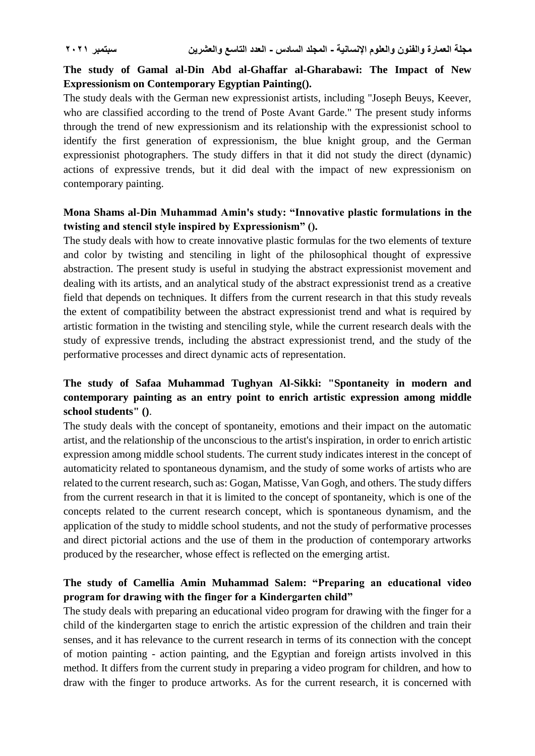# **The study of Gamal al-Din Abd al-Ghaffar al-Gharabawi: The Impact of New Expressionism on Contemporary Egyptian Painting().**

The study deals with the German new expressionist artists, including "Joseph Beuys, Keever, who are classified according to the trend of Poste Avant Garde." The present study informs through the trend of new expressionism and its relationship with the expressionist school to identify the first generation of expressionism, the blue knight group, and the German expressionist photographers. The study differs in that it did not study the direct (dynamic) actions of expressive trends, but it did deal with the impact of new expressionism on contemporary painting.

## **Mona Shams al-Din Muhammad Amin's study: "Innovative plastic formulations in the twisting and stencil style inspired by Expressionism" ().**

The study deals with how to create innovative plastic formulas for the two elements of texture and color by twisting and stenciling in light of the philosophical thought of expressive abstraction. The present study is useful in studying the abstract expressionist movement and dealing with its artists, and an analytical study of the abstract expressionist trend as a creative field that depends on techniques. It differs from the current research in that this study reveals the extent of compatibility between the abstract expressionist trend and what is required by artistic formation in the twisting and stenciling style, while the current research deals with the study of expressive trends, including the abstract expressionist trend, and the study of the performative processes and direct dynamic acts of representation.

# **The study of Safaa Muhammad Tughyan Al-Sikki: "Spontaneity in modern and contemporary painting as an entry point to enrich artistic expression among middle school students" ()**.

The study deals with the concept of spontaneity, emotions and their impact on the automatic artist, and the relationship of the unconscious to the artist's inspiration, in order to enrich artistic expression among middle school students. The current study indicates interest in the concept of automaticity related to spontaneous dynamism, and the study of some works of artists who are related to the current research, such as: Gogan, Matisse, Van Gogh, and others. The study differs from the current research in that it is limited to the concept of spontaneity, which is one of the concepts related to the current research concept, which is spontaneous dynamism, and the application of the study to middle school students, and not the study of performative processes and direct pictorial actions and the use of them in the production of contemporary artworks produced by the researcher, whose effect is reflected on the emerging artist.

# **The study of Camellia Amin Muhammad Salem: "Preparing an educational video program for drawing with the finger for a Kindergarten child"**

The study deals with preparing an educational video program for drawing with the finger for a child of the kindergarten stage to enrich the artistic expression of the children and train their senses, and it has relevance to the current research in terms of its connection with the concept of motion painting - action painting, and the Egyptian and foreign artists involved in this method. It differs from the current study in preparing a video program for children, and how to draw with the finger to produce artworks. As for the current research, it is concerned with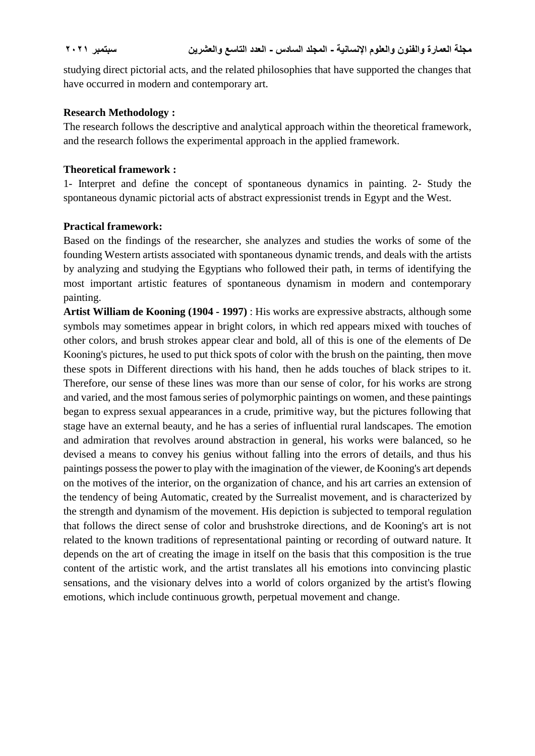studying direct pictorial acts, and the related philosophies that have supported the changes that have occurred in modern and contemporary art.

#### **Research Methodology :**

The research follows the descriptive and analytical approach within the theoretical framework, and the research follows the experimental approach in the applied framework.

#### **Theoretical framework :**

1- Interpret and define the concept of spontaneous dynamics in painting. 2- Study the spontaneous dynamic pictorial acts of abstract expressionist trends in Egypt and the West.

#### **Practical framework:**

Based on the findings of the researcher, she analyzes and studies the works of some of the founding Western artists associated with spontaneous dynamic trends, and deals with the artists by analyzing and studying the Egyptians who followed their path, in terms of identifying the most important artistic features of spontaneous dynamism in modern and contemporary painting.

**Artist William de Kooning (1904 - 1997)** : His works are expressive abstracts, although some symbols may sometimes appear in bright colors, in which red appears mixed with touches of other colors, and brush strokes appear clear and bold, all of this is one of the elements of De Kooning's pictures, he used to put thick spots of color with the brush on the painting, then move these spots in Different directions with his hand, then he adds touches of black stripes to it. Therefore, our sense of these lines was more than our sense of color, for his works are strong and varied, and the most famous series of polymorphic paintings on women, and these paintings began to express sexual appearances in a crude, primitive way, but the pictures following that stage have an external beauty, and he has a series of influential rural landscapes. The emotion and admiration that revolves around abstraction in general, his works were balanced, so he devised a means to convey his genius without falling into the errors of details, and thus his paintings possess the power to play with the imagination of the viewer, de Kooning's art depends on the motives of the interior, on the organization of chance, and his art carries an extension of the tendency of being Automatic, created by the Surrealist movement, and is characterized by the strength and dynamism of the movement. His depiction is subjected to temporal regulation that follows the direct sense of color and brushstroke directions, and de Kooning's art is not related to the known traditions of representational painting or recording of outward nature. It depends on the art of creating the image in itself on the basis that this composition is the true content of the artistic work, and the artist translates all his emotions into convincing plastic sensations, and the visionary delves into a world of colors organized by the artist's flowing emotions, which include continuous growth, perpetual movement and change.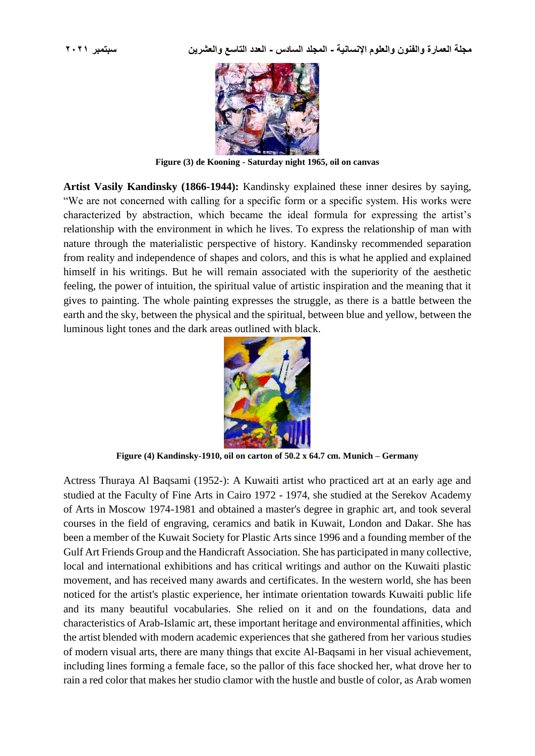

**Figure (3) de Kooning - Saturday night 1965, oil on canvas**

**Artist Vasily Kandinsky (1866-1944):** Kandinsky explained these inner desires by saying, "We are not concerned with calling for a specific form or a specific system. His works were characterized by abstraction, which became the ideal formula for expressing the artist's relationship with the environment in which he lives. To express the relationship of man with nature through the materialistic perspective of history. Kandinsky recommended separation from reality and independence of shapes and colors, and this is what he applied and explained himself in his writings. But he will remain associated with the superiority of the aesthetic feeling, the power of intuition, the spiritual value of artistic inspiration and the meaning that it gives to painting. The whole painting expresses the struggle, as there is a battle between the earth and the sky, between the physical and the spiritual, between blue and yellow, between the luminous light tones and the dark areas outlined with black.



**Figure (4) Kandinsky-1910, oil on carton of 50.2 x 64.7 cm. Munich – Germany**

Actress Thuraya Al Baqsami (1952-): A Kuwaiti artist who practiced art at an early age and studied at the Faculty of Fine Arts in Cairo 1972 - 1974, she studied at the Serekov Academy of Arts in Moscow 1974-1981 and obtained a master's degree in graphic art, and took several courses in the field of engraving, ceramics and batik in Kuwait, London and Dakar. She has been a member of the Kuwait Society for Plastic Arts since 1996 and a founding member of the Gulf Art Friends Group and the Handicraft Association. She has participated in many collective, local and international exhibitions and has critical writings and author on the Kuwaiti plastic movement, and has received many awards and certificates. In the western world, she has been noticed for the artist's plastic experience, her intimate orientation towards Kuwaiti public life and its many beautiful vocabularies. She relied on it and on the foundations, data and characteristics of Arab-Islamic art, these important heritage and environmental affinities, which the artist blended with modern academic experiences that she gathered from her various studies of modern visual arts, there are many things that excite Al-Baqsami in her visual achievement, including lines forming a female face, so the pallor of this face shocked her, what drove her to rain a red color that makes her studio clamor with the hustle and bustle of color, as Arab women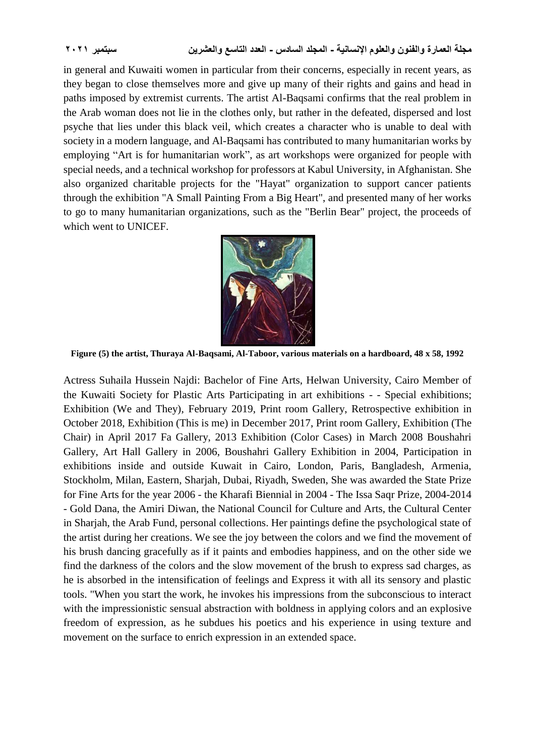in general and Kuwaiti women in particular from their concerns, especially in recent years, as they began to close themselves more and give up many of their rights and gains and head in paths imposed by extremist currents. The artist Al-Baqsami confirms that the real problem in the Arab woman does not lie in the clothes only, but rather in the defeated, dispersed and lost psyche that lies under this black veil, which creates a character who is unable to deal with society in a modern language, and Al-Baqsami has contributed to many humanitarian works by employing "Art is for humanitarian work", as art workshops were organized for people with special needs, and a technical workshop for professors at Kabul University, in Afghanistan. She also organized charitable projects for the "Hayat" organization to support cancer patients through the exhibition "A Small Painting From a Big Heart", and presented many of her works to go to many humanitarian organizations, such as the "Berlin Bear" project, the proceeds of which went to UNICEF.



**Figure (5) the artist, Thuraya Al-Baqsami, Al-Taboor, various materials on a hardboard, 48 x 58, 1992**

Actress Suhaila Hussein Najdi: Bachelor of Fine Arts, Helwan University, Cairo Member of the Kuwaiti Society for Plastic Arts Participating in art exhibitions - - Special exhibitions; Exhibition (We and They), February 2019, Print room Gallery, Retrospective exhibition in October 2018, Exhibition (This is me) in December 2017, Print room Gallery, Exhibition (The Chair) in April 2017 Fa Gallery, 2013 Exhibition (Color Cases) in March 2008 Boushahri Gallery, Art Hall Gallery in 2006, Boushahri Gallery Exhibition in 2004, Participation in exhibitions inside and outside Kuwait in Cairo, London, Paris, Bangladesh, Armenia, Stockholm, Milan, Eastern, Sharjah, Dubai, Riyadh, Sweden, She was awarded the State Prize for Fine Arts for the year 2006 - the Kharafi Biennial in 2004 - The Issa Saqr Prize, 2004-2014 - Gold Dana, the Amiri Diwan, the National Council for Culture and Arts, the Cultural Center in Sharjah, the Arab Fund, personal collections. Her paintings define the psychological state of the artist during her creations. We see the joy between the colors and we find the movement of his brush dancing gracefully as if it paints and embodies happiness, and on the other side we find the darkness of the colors and the slow movement of the brush to express sad charges, as he is absorbed in the intensification of feelings and Express it with all its sensory and plastic tools. "When you start the work, he invokes his impressions from the subconscious to interact with the impressionistic sensual abstraction with boldness in applying colors and an explosive freedom of expression, as he subdues his poetics and his experience in using texture and movement on the surface to enrich expression in an extended space.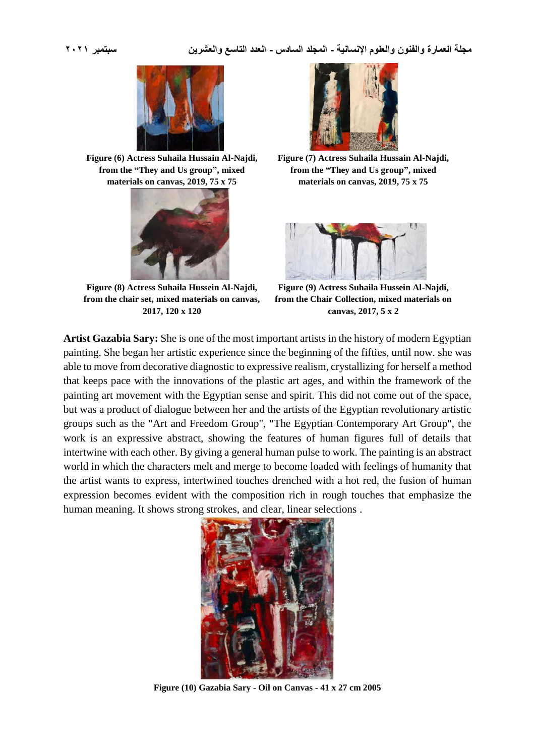

 $\overline{\phantom{a}}$ 

**Figure (6) Actress Suhaila Hussain Al-Najdi, from the "They and Us group", mixed materials on canvas, 2019, 75 x 75**



**Figure (8) Actress Suhaila Hussein Al-Najdi, from the chair set, mixed materials on canvas, 2017, 120 x 120**



**Figure (7) Actress Suhaila Hussain Al-Najdi, from the "They and Us group", mixed materials on canvas, 2019, 75 x 75**



**Figure (9) Actress Suhaila Hussein Al-Najdi, from the Chair Collection, mixed materials on canvas, 2017, 5 x 2**

**Artist Gazabia Sary:** She is one of the most important artists in the history of modern Egyptian painting. She began her artistic experience since the beginning of the fifties, until now. she was able to move from decorative diagnostic to expressive realism, crystallizing for herself a method that keeps pace with the innovations of the plastic art ages, and within the framework of the painting art movement with the Egyptian sense and spirit. This did not come out of the space, but was a product of dialogue between her and the artists of the Egyptian revolutionary artistic groups such as the "Art and Freedom Group", "The Egyptian Contemporary Art Group", the work is an expressive abstract, showing the features of human figures full of details that intertwine with each other. By giving a general human pulse to work. The painting is an abstract world in which the characters melt and merge to become loaded with feelings of humanity that the artist wants to express, intertwined touches drenched with a hot red, the fusion of human expression becomes evident with the composition rich in rough touches that emphasize the human meaning. It shows strong strokes, and clear, linear selections .



**Figure (10) Gazabia Sary - Oil on Canvas - 41 x 27 cm 2005**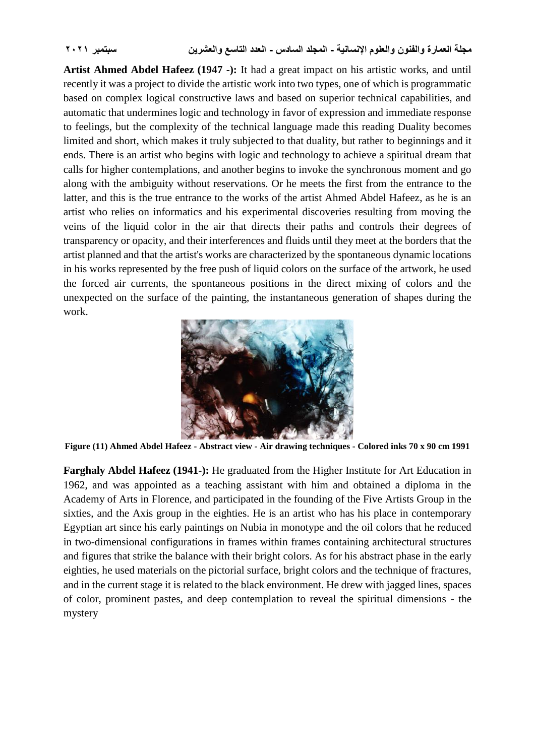**Artist Ahmed Abdel Hafeez (1947 -):** It had a great impact on his artistic works, and until recently it was a project to divide the artistic work into two types, one of which is programmatic based on complex logical constructive laws and based on superior technical capabilities, and automatic that undermines logic and technology in favor of expression and immediate response to feelings, but the complexity of the technical language made this reading Duality becomes limited and short, which makes it truly subjected to that duality, but rather to beginnings and it ends. There is an artist who begins with logic and technology to achieve a spiritual dream that calls for higher contemplations, and another begins to invoke the synchronous moment and go along with the ambiguity without reservations. Or he meets the first from the entrance to the latter, and this is the true entrance to the works of the artist Ahmed Abdel Hafeez, as he is an artist who relies on informatics and his experimental discoveries resulting from moving the veins of the liquid color in the air that directs their paths and controls their degrees of transparency or opacity, and their interferences and fluids until they meet at the borders that the artist planned and that the artist's works are characterized by the spontaneous dynamic locations in his works represented by the free push of liquid colors on the surface of the artwork, he used the forced air currents, the spontaneous positions in the direct mixing of colors and the unexpected on the surface of the painting, the instantaneous generation of shapes during the work.



**Figure (11) Ahmed Abdel Hafeez - Abstract view - Air drawing techniques - Colored inks 70 x 90 cm 1991**

**Farghaly Abdel Hafeez (1941-):** He graduated from the Higher Institute for Art Education in 1962, and was appointed as a teaching assistant with him and obtained a diploma in the Academy of Arts in Florence, and participated in the founding of the Five Artists Group in the sixties, and the Axis group in the eighties. He is an artist who has his place in contemporary Egyptian art since his early paintings on Nubia in monotype and the oil colors that he reduced in two-dimensional configurations in frames within frames containing architectural structures and figures that strike the balance with their bright colors. As for his abstract phase in the early eighties, he used materials on the pictorial surface, bright colors and the technique of fractures, and in the current stage it is related to the black environment. He drew with jagged lines, spaces of color, prominent pastes, and deep contemplation to reveal the spiritual dimensions - the mystery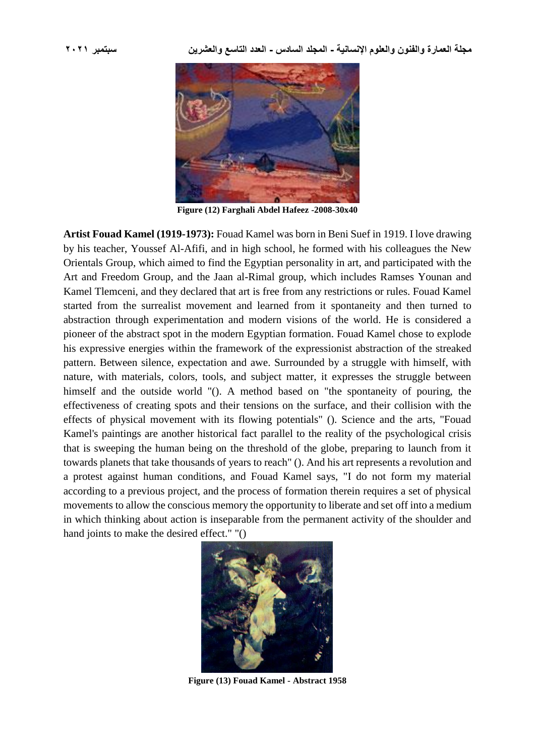

**Figure (12) Farghali Abdel Hafeez -2008-30x40**

**Artist Fouad Kamel (1919-1973):** Fouad Kamel was born in Beni Suef in 1919. I love drawing by his teacher, Youssef Al-Afifi, and in high school, he formed with his colleagues the New Orientals Group, which aimed to find the Egyptian personality in art, and participated with the Art and Freedom Group, and the Jaan al-Rimal group, which includes Ramses Younan and Kamel Tlemceni, and they declared that art is free from any restrictions or rules. Fouad Kamel started from the surrealist movement and learned from it spontaneity and then turned to abstraction through experimentation and modern visions of the world. He is considered a pioneer of the abstract spot in the modern Egyptian formation. Fouad Kamel chose to explode his expressive energies within the framework of the expressionist abstraction of the streaked pattern. Between silence, expectation and awe. Surrounded by a struggle with himself, with nature, with materials, colors, tools, and subject matter, it expresses the struggle between himself and the outside world "(). A method based on "the spontaneity of pouring, the effectiveness of creating spots and their tensions on the surface, and their collision with the effects of physical movement with its flowing potentials" (). Science and the arts, "Fouad Kamel's paintings are another historical fact parallel to the reality of the psychological crisis that is sweeping the human being on the threshold of the globe, preparing to launch from it towards planets that take thousands of years to reach" (). And his art represents a revolution and a protest against human conditions, and Fouad Kamel says, "I do not form my material according to a previous project, and the process of formation therein requires a set of physical movements to allow the conscious memory the opportunity to liberate and set off into a medium in which thinking about action is inseparable from the permanent activity of the shoulder and hand joints to make the desired effect." "()



**Figure (13) Fouad Kamel - Abstract 1958**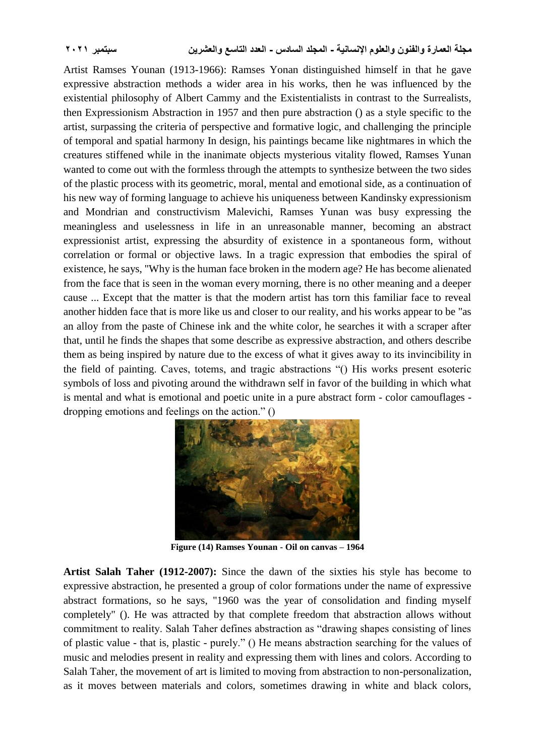Artist Ramses Younan (1913-1966): Ramses Yonan distinguished himself in that he gave expressive abstraction methods a wider area in his works, then he was influenced by the existential philosophy of Albert Cammy and the Existentialists in contrast to the Surrealists, then Expressionism Abstraction in 1957 and then pure abstraction () as a style specific to the artist, surpassing the criteria of perspective and formative logic, and challenging the principle of temporal and spatial harmony In design, his paintings became like nightmares in which the creatures stiffened while in the inanimate objects mysterious vitality flowed, Ramses Yunan wanted to come out with the formless through the attempts to synthesize between the two sides of the plastic process with its geometric, moral, mental and emotional side, as a continuation of his new way of forming language to achieve his uniqueness between Kandinsky expressionism and Mondrian and constructivism Malevichi, Ramses Yunan was busy expressing the meaningless and uselessness in life in an unreasonable manner, becoming an abstract expressionist artist, expressing the absurdity of existence in a spontaneous form, without correlation or formal or objective laws. In a tragic expression that embodies the spiral of existence, he says, "Why is the human face broken in the modern age? He has become alienated from the face that is seen in the woman every morning, there is no other meaning and a deeper cause ... Except that the matter is that the modern artist has torn this familiar face to reveal another hidden face that is more like us and closer to our reality, and his works appear to be "as an alloy from the paste of Chinese ink and the white color, he searches it with a scraper after that, until he finds the shapes that some describe as expressive abstraction, and others describe them as being inspired by nature due to the excess of what it gives away to its invincibility in the field of painting. Caves, totems, and tragic abstractions "() His works present esoteric symbols of loss and pivoting around the withdrawn self in favor of the building in which what is mental and what is emotional and poetic unite in a pure abstract form - color camouflages dropping emotions and feelings on the action." ()



**Figure (14) Ramses Younan - Oil on canvas – 1964**

**Artist Salah Taher (1912-2007):** Since the dawn of the sixties his style has become to expressive abstraction, he presented a group of color formations under the name of expressive abstract formations, so he says, "1960 was the year of consolidation and finding myself completely" (). He was attracted by that complete freedom that abstraction allows without commitment to reality. Salah Taher defines abstraction as "drawing shapes consisting of lines of plastic value - that is, plastic - purely." () He means abstraction searching for the values of music and melodies present in reality and expressing them with lines and colors. According to Salah Taher, the movement of art is limited to moving from abstraction to non-personalization, as it moves between materials and colors, sometimes drawing in white and black colors,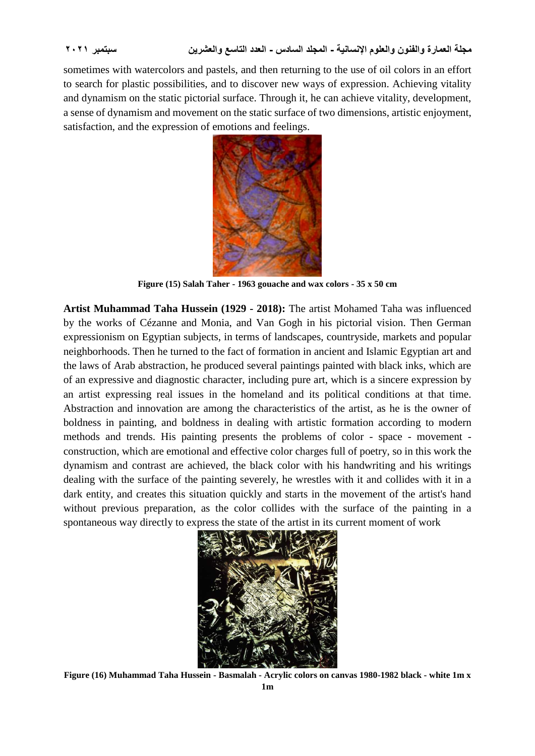sometimes with watercolors and pastels, and then returning to the use of oil colors in an effort to search for plastic possibilities, and to discover new ways of expression. Achieving vitality and dynamism on the static pictorial surface. Through it, he can achieve vitality, development, a sense of dynamism and movement on the static surface of two dimensions, artistic enjoyment, satisfaction, and the expression of emotions and feelings.



**Figure (15) Salah Taher - 1963 gouache and wax colors - 35 x 50 cm**

**Artist Muhammad Taha Hussein (1929 - 2018):** The artist Mohamed Taha was influenced by the works of Cézanne and Monia, and Van Gogh in his pictorial vision. Then German expressionism on Egyptian subjects, in terms of landscapes, countryside, markets and popular neighborhoods. Then he turned to the fact of formation in ancient and Islamic Egyptian art and the laws of Arab abstraction, he produced several paintings painted with black inks, which are of an expressive and diagnostic character, including pure art, which is a sincere expression by an artist expressing real issues in the homeland and its political conditions at that time. Abstraction and innovation are among the characteristics of the artist, as he is the owner of boldness in painting, and boldness in dealing with artistic formation according to modern methods and trends. His painting presents the problems of color - space - movement construction, which are emotional and effective color charges full of poetry, so in this work the dynamism and contrast are achieved, the black color with his handwriting and his writings dealing with the surface of the painting severely, he wrestles with it and collides with it in a dark entity, and creates this situation quickly and starts in the movement of the artist's hand without previous preparation, as the color collides with the surface of the painting in a spontaneous way directly to express the state of the artist in its current moment of work



**Figure (16) Muhammad Taha Hussein - Basmalah - Acrylic colors on canvas 1980-1982 black - white 1m x**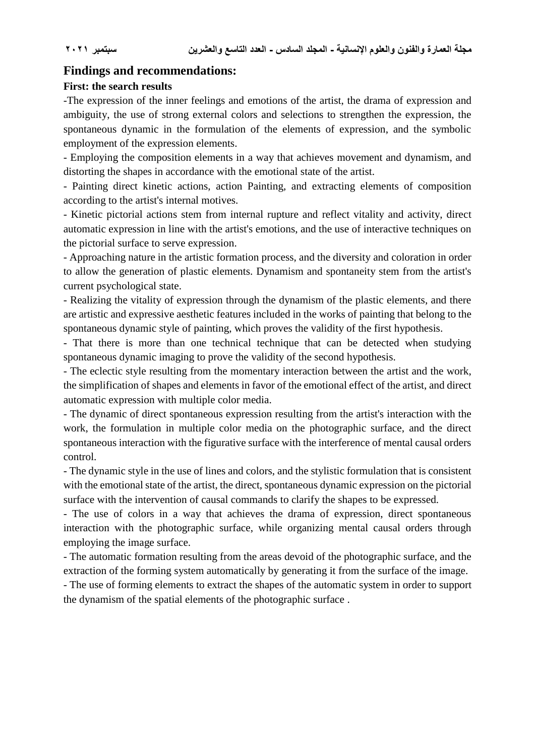## **Findings and recommendations:**

#### **First: the search results**

-The expression of the inner feelings and emotions of the artist, the drama of expression and ambiguity, the use of strong external colors and selections to strengthen the expression, the spontaneous dynamic in the formulation of the elements of expression, and the symbolic employment of the expression elements.

- Employing the composition elements in a way that achieves movement and dynamism, and distorting the shapes in accordance with the emotional state of the artist.

- Painting direct kinetic actions, action Painting, and extracting elements of composition according to the artist's internal motives.

- Kinetic pictorial actions stem from internal rupture and reflect vitality and activity, direct automatic expression in line with the artist's emotions, and the use of interactive techniques on the pictorial surface to serve expression.

- Approaching nature in the artistic formation process, and the diversity and coloration in order to allow the generation of plastic elements. Dynamism and spontaneity stem from the artist's current psychological state.

- Realizing the vitality of expression through the dynamism of the plastic elements, and there are artistic and expressive aesthetic features included in the works of painting that belong to the spontaneous dynamic style of painting, which proves the validity of the first hypothesis.

- That there is more than one technical technique that can be detected when studying spontaneous dynamic imaging to prove the validity of the second hypothesis.

- The eclectic style resulting from the momentary interaction between the artist and the work, the simplification of shapes and elements in favor of the emotional effect of the artist, and direct automatic expression with multiple color media.

- The dynamic of direct spontaneous expression resulting from the artist's interaction with the work, the formulation in multiple color media on the photographic surface, and the direct spontaneous interaction with the figurative surface with the interference of mental causal orders control.

- The dynamic style in the use of lines and colors, and the stylistic formulation that is consistent with the emotional state of the artist, the direct, spontaneous dynamic expression on the pictorial surface with the intervention of causal commands to clarify the shapes to be expressed.

- The use of colors in a way that achieves the drama of expression, direct spontaneous interaction with the photographic surface, while organizing mental causal orders through employing the image surface.

- The automatic formation resulting from the areas devoid of the photographic surface, and the extraction of the forming system automatically by generating it from the surface of the image.

- The use of forming elements to extract the shapes of the automatic system in order to support the dynamism of the spatial elements of the photographic surface .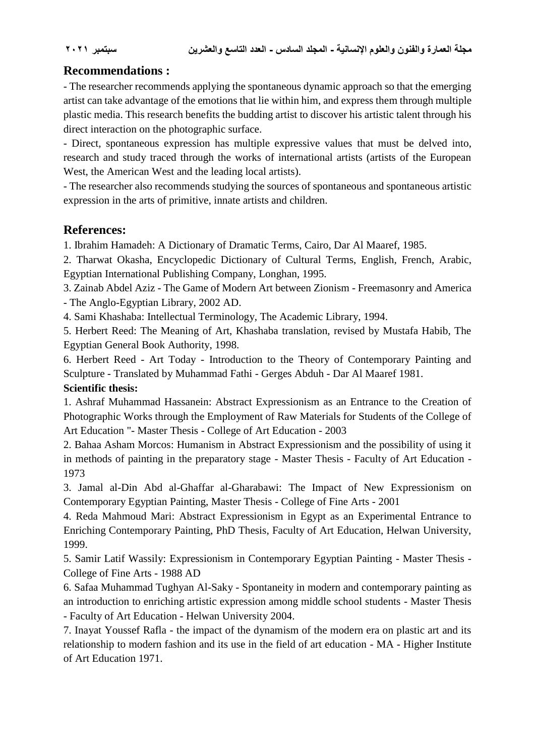# **Recommendations :**

- The researcher recommends applying the spontaneous dynamic approach so that the emerging artist can take advantage of the emotions that lie within him, and express them through multiple plastic media. This research benefits the budding artist to discover his artistic talent through his direct interaction on the photographic surface.

- Direct, spontaneous expression has multiple expressive values that must be delved into, research and study traced through the works of international artists (artists of the European West, the American West and the leading local artists).

- The researcher also recommends studying the sources of spontaneous and spontaneous artistic expression in the arts of primitive, innate artists and children.

# **References:**

1. Ibrahim Hamadeh: A Dictionary of Dramatic Terms, Cairo, Dar Al Maaref, 1985.

2. Tharwat Okasha, Encyclopedic Dictionary of Cultural Terms, English, French, Arabic, Egyptian International Publishing Company, Longhan, 1995.

3. Zainab Abdel Aziz - The Game of Modern Art between Zionism - Freemasonry and America - The Anglo-Egyptian Library, 2002 AD.

4. Sami Khashaba: Intellectual Terminology, The Academic Library, 1994.

5. Herbert Reed: The Meaning of Art, Khashaba translation, revised by Mustafa Habib, The Egyptian General Book Authority, 1998.

6. Herbert Reed - Art Today - Introduction to the Theory of Contemporary Painting and Sculpture - Translated by Muhammad Fathi - Gerges Abduh - Dar Al Maaref 1981.

### **Scientific thesis:**

1. Ashraf Muhammad Hassanein: Abstract Expressionism as an Entrance to the Creation of Photographic Works through the Employment of Raw Materials for Students of the College of Art Education "- Master Thesis - College of Art Education - 2003

2. Bahaa Asham Morcos: Humanism in Abstract Expressionism and the possibility of using it in methods of painting in the preparatory stage - Master Thesis - Faculty of Art Education - 1973

3. Jamal al-Din Abd al-Ghaffar al-Gharabawi: The Impact of New Expressionism on Contemporary Egyptian Painting, Master Thesis - College of Fine Arts - 2001

4. Reda Mahmoud Mari: Abstract Expressionism in Egypt as an Experimental Entrance to Enriching Contemporary Painting, PhD Thesis, Faculty of Art Education, Helwan University, 1999.

5. Samir Latif Wassily: Expressionism in Contemporary Egyptian Painting - Master Thesis - College of Fine Arts - 1988 AD

6. Safaa Muhammad Tughyan Al-Saky - Spontaneity in modern and contemporary painting as an introduction to enriching artistic expression among middle school students - Master Thesis - Faculty of Art Education - Helwan University 2004.

7. Inayat Youssef Rafla - the impact of the dynamism of the modern era on plastic art and its relationship to modern fashion and its use in the field of art education - MA - Higher Institute of Art Education 1971.